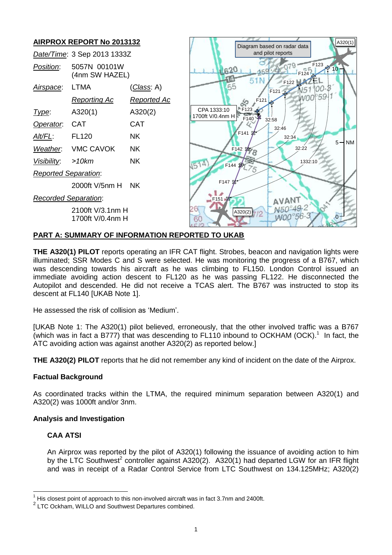

# **PART A: SUMMARY OF INFORMATION REPORTED TO UKAB**

**THE A320(1) PILOT** reports operating an IFR CAT flight. Strobes, beacon and navigation lights were illuminated; SSR Modes C and S were selected. He was monitoring the progress of a B767, which was descending towards his aircraft as he was climbing to FL150. London Control issued an immediate avoiding action descent to FL120 as he was passing FL122. He disconnected the Autopilot and descended. He did not receive a TCAS alert. The B767 was instructed to stop its descent at FL140 [UKAB Note 1].

He assessed the risk of collision as 'Medium'.

[UKAB Note 1: The A320(1) pilot believed, erroneously, that the other involved traffic was a B767 (which was in fact a B777) that was descending to FL110 inbound to OCKHAM (OCK).<sup>1</sup> In fact, the ATC avoiding action was against another A320(2) as reported below.]

**THE A320(2) PILOT** reports that he did not remember any kind of incident on the date of the Airprox.

## **Factual Background**

As coordinated tracks within the LTMA, the required minimum separation between A320(1) and A320(2) was 1000ft and/or 3nm.

## **Analysis and Investigation**

### **CAA ATSI**

 $\overline{\phantom{a}}$ 

An Airprox was reported by the pilot of A320(1) following the issuance of avoiding action to him by the LTC Southwest<sup>2</sup> controller against A320(2). A320(1) had departed LGW for an IFR flight and was in receipt of a Radar Control Service from LTC Southwest on 134.125MHz; A320(2)

 $1$  His closest point of approach to this non-involved aircraft was in fact 3.7nm and 2400ft.

 $2$  LTC Ockham, WILLO and Southwest Departures combined.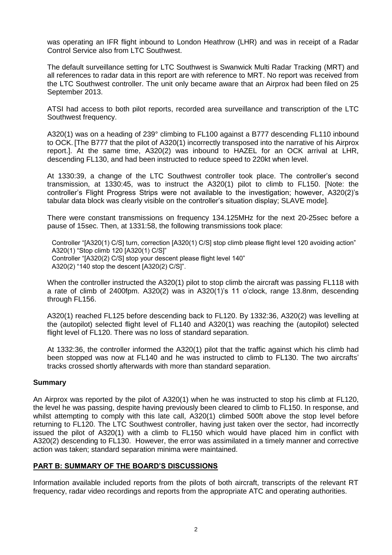was operating an IFR flight inbound to London Heathrow (LHR) and was in receipt of a Radar Control Service also from LTC Southwest.

The default surveillance setting for LTC Southwest is Swanwick Multi Radar Tracking (MRT) and all references to radar data in this report are with reference to MRT. No report was received from the LTC Southwest controller. The unit only became aware that an Airprox had been filed on 25 September 2013.

ATSI had access to both pilot reports, recorded area surveillance and transcription of the LTC Southwest frequency.

A320(1) was on a heading of 239° climbing to FL100 against a B777 descending FL110 inbound to OCK. [The B777 that the pilot of A320(1) incorrectly transposed into the narrative of his Airprox report.]. At the same time, A320(2) was inbound to HAZEL for an OCK arrival at LHR, descending FL130, and had been instructed to reduce speed to 220kt when level.

At 1330:39, a change of the LTC Southwest controller took place. The controller's second transmission, at 1330:45, was to instruct the A320(1) pilot to climb to FL150. [Note: the controller's Flight Progress Strips were not available to the investigation; however, A320(2)'s tabular data block was clearly visible on the controller's situation display; SLAVE mode].

There were constant transmissions on frequency 134.125MHz for the next 20-25sec before a pause of 15sec. Then, at 1331:58, the following transmissions took place:

Controller "[A320(1) C/S] turn, correction [A320(1) C/S] stop climb please flight level 120 avoiding action" A320(1) "Stop climb 120 [A320(1) C/S]" Controller "[A320(2) C/S] stop your descent please flight level 140" A320(2) "140 stop the descent [A320(2) C/S]".

When the controller instructed the A320(1) pilot to stop climb the aircraft was passing FL118 with a rate of climb of 2400fpm. A320(2) was in A320(1)'s 11 o'clock, range 13.8nm, descending through FL156.

A320(1) reached FL125 before descending back to FL120. By 1332:36, A320(2) was levelling at the (autopilot) selected flight level of FL140 and A320(1) was reaching the (autopilot) selected flight level of FL120. There was no loss of standard separation.

At 1332:36, the controller informed the A320(1) pilot that the traffic against which his climb had been stopped was now at FL140 and he was instructed to climb to FL130. The two aircrafts' tracks crossed shortly afterwards with more than standard separation.

### **Summary**

An Airprox was reported by the pilot of A320(1) when he was instructed to stop his climb at FL120, the level he was passing, despite having previously been cleared to climb to FL150. In response, and whilst attempting to comply with this late call, A320(1) climbed 500ft above the stop level before returning to FL120. The LTC Southwest controller, having just taken over the sector, had incorrectly issued the pilot of A320(1) with a climb to FL150 which would have placed him in conflict with A320(2) descending to FL130. However, the error was assimilated in a timely manner and corrective action was taken; standard separation minima were maintained.

### **PART B: SUMMARY OF THE BOARD'S DISCUSSIONS**

Information available included reports from the pilots of both aircraft, transcripts of the relevant RT frequency, radar video recordings and reports from the appropriate ATC and operating authorities.